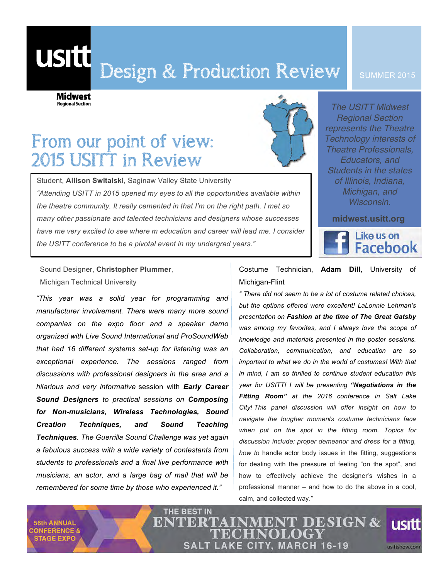# Design & Production Review

#### SUMMER 2015

Midwest **Regional Section** 

usitt

## From our point of view: 2015 USITT in Review

Student, **Allison Switalski**, Saginaw Valley State University *"Attending USITT in 2015 opened my eyes to all the opportunities available within the theatre community. It really cemented in that I'm on the right path. I met so many other passionate and talented technicians and designers whose successes have me very excited to see where m education and career will lead me. I consider the USITT conference to be a pivotal event in my undergrad years."*

THE BEST IN



*The USITT Midwest Regional Section represents the Theatre Technology interests of Theatre Professionals, Educators, and Students in the states of Illinois, Indiana, Michigan, and Wisconsin.*

**midwest.usitt.org**



Sound Designer, **Christopher Plummer**, Michigan Technical University

*"This year was a solid year for programming and manufacturer involvement. There were many more sound companies on the expo floor and a speaker demo organized with Live Sound International and ProSoundWeb that had 16 different systems set-up for listening was an exceptional experience. The sessions ranged from discussions with professional designers in the area and a hilarious and very informative* session with *Early Career Sound Designers to practical sessions on Composing for Non-musicians, Wireless Technologies, Sound Creation Techniques, and Sound Teaching Techniques. The Guerrilla Sound Challenge was yet again a fabulous success with a wide variety of contestants from students to professionals and a final live performance with musicians, an actor, and a large bag of mail that will be remembered for some time by those who experienced it."*

Costume Technician, **Adam Dill**, University of Michigan-Flint

*" There did not seem to be a lot of costume related choices, but the options offered were excellent! LaLonnie Lehman's presentation on Fashion at the time of The Great Gatsby was among my favorites, and I always love the scope of knowledge and materials presented in the poster sessions. Collaboration, communication, and education are so important to what we do in the world of costumes! With that in mind, I am so thrilled to continue student education this year for USITT! I will be presenting "Negotiations in the Fitting Room" at the 2016 conference in Salt Lake City! This panel discussion will offer insight on how to navigate the tougher moments costume technicians face when put on the spot in the fitting room. Topics for discussion include: proper demeanor and dress for a fitting, how to* handle actor body issues in the fitting, suggestions for dealing with the pressure of feeling "on the spot", and how to effectively achieve the designer's wishes in a professional manner – and how to do the above in a cool, calm, and collected way."

**56th ANNUAL ONFERENCE & STAGE EXPO** 

ENTERT MENT DESIGN & **usitt SALT LAKE CITY, MARCH 16-19** usittshow.com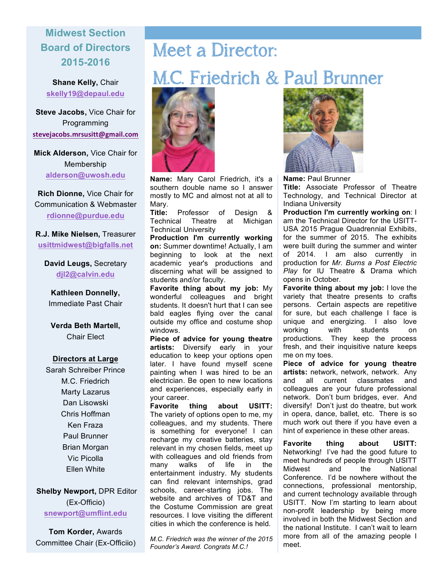### **Midwest Section Board of Directors 2015-2016**

**Shane Kelly,** Chair **skelly19@depaul.edu**

**Steve Jacobs,** Vice Chair for Programming **stevejacobs.mrsusitt@gmail.com**

**Mick Alderson,** Vice Chair for Membership **alderson@uwosh.edu**

**Rich Dionne,** Vice Chair for Communication & Webmaster **rdionne@purdue.edu**

**R.J. Mike Nielsen,** Treasurer **usittmidwest@bigfalls.net**

**David Leugs,** Secretary **djl2@calvin.edu**

**Kathleen Donnelly,**  Immediate Past Chair

**Verda Beth Martell,**  Chair Elect

#### **Directors at Large**

Sarah Schreiber Prince M.C. Friedrich Marty Lazarus Dan Lisowski Chris Hoffman Ken Fraza Paul Brunner Brian Morgan Vic Picolla Ellen White

**Shelby Newport,** DPR Editor (Ex-Officio) **snewport@umflint.edu**

**Tom Korder,** Awards Committee Chair (Ex-Officiio)

# Meet a Director:

## M.C. Friedrich & Paul Brunner



**Name:** Mary Carol Friedrich, it's a southern double name so I answer mostly to MC and almost not at all to Mary.

**Title:** Professor of Design & Technical Theatre at Michigan Technical University

**Production I'm currently working on:** Summer downtime! Actually, I am beginning to look at the next academic year's productions and discerning what will be assigned to students and/or faculty.

**Favorite thing about my job:** My wonderful colleagues and bright students. It doesn't hurt that I can see bald eagles flying over the canal outside my office and costume shop windows.

**Piece of advice for young theatre artists:** Diversify early in your education to keep your options open later. I have found myself scene painting when I was hired to be an electrician. Be open to new locations and experiences, especially early in your career.

**Favorite thing about USITT:** The variety of options open to me, my colleagues, and my students. There is something for everyone! I can recharge my creative batteries, stay relevant in my chosen fields, meet up with colleagues and old friends from many walks of life in the entertainment industry. My students can find relevant internships, grad schools, career-starting jobs. The website and archives of TD&T and the Costume Commission are great resources. I love visiting the different cities in which the conference is held.

*M.C. Friedrich was the winner of the 2015 Founder's Award. Congrats M.C.!*



**Name:** Paul Brunner

**Title:** Associate Professor of Theatre Technology, and Technical Director at Indiana University

**Production I'm currently working on**: I am the Technical Director for the USITT-USA 2015 Prague Quadrennial Exhibits, for the summer of 2015. The exhibits were built during the summer and winter of 2014. I am also currently in production for *Mr. Burns a Post Electric Play* for IU Theatre & Drama which opens in October.

**Favorite thing about my job:** I love the variety that theatre presents to crafts persons. Certain aspects are repetitive for sure, but each challenge I face is unique and energizing. I also love working with students on productions. They keep the process fresh, and their inquisitive nature keeps me on my toes.

**Piece of advice for young theatre artists:** network, network, network. Any and all current classmates and colleagues are your future professional network. Don't burn bridges, ever. And diversify! Don't just do theatre, but work in opera, dance, ballet, etc. There is so much work out there if you have even a hint of experience in these other areas.

**Favorite thing about USITT:** Networking! I've had the good future to meet hundreds of people through USITT Midwest and the National Conference. I'd be nowhere without the connections, professional mentorship, and current technology available through USITT. Now I'm starting to learn about non-profit leadership by being more involved in both the Midwest Section and the national Institute. I can't wait to learn more from all of the amazing people I meet.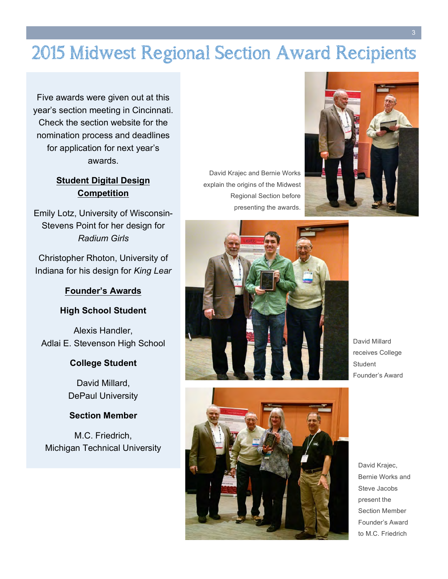## 2015 Midwest Regional Section Award Recipients

Five awards were given out at this year's section meeting in Cincinnati. Check the section website for the nomination process and deadlines for application for next year's awards.

### **Student Digital Design Competition**

Emily Lotz, University of Wisconsin-Stevens Point for her design for *Radium Girls*

Christopher Rhoton, University of Indiana for his design for *King Lear*

#### **Founder's Awards**

#### **High School Student**

Alexis Handler, Adlai E. Stevenson High School

#### **College Student**

David Millard, DePaul University

#### **Section Member**

M.C. Friedrich, Michigan Technical University

David Krajec and Bernie Works explain the origins of the Midwest Regional Section before presenting the awards.





David Millard receives College Student Founder's Award



David Krajec, Bernie Works and Steve Jacobs present the Section Member Founder's Award to M.C. Friedrich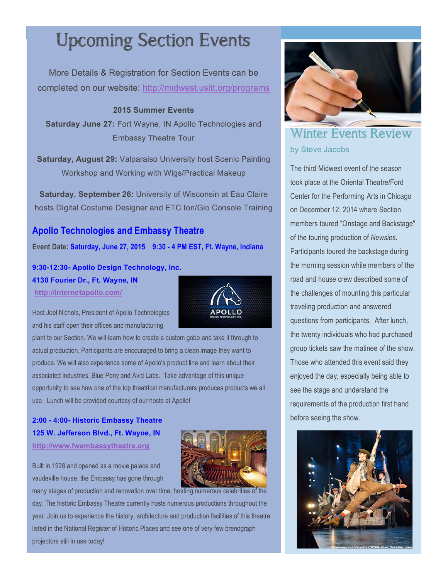# **Upcoming Section Events**

More Details & Registration for Section Events can be completed on our website: http://midwest.usitt.org/programs

**2015 Summer Events**

**Saturday June 27:** Fort Wayne, IN Apollo Technologies and Embassy Theatre Tour

**Saturday, August 29:** Valparaiso University host Scenic Painting Workshop and Working with Wigs/Practical Makeup

**Saturday, September 26:** University of Wisconsin at Eau Claire hosts Digital Costume Designer and ETC Ion/Gio Console Training

### **Apollo Technologies and Embassy Theatre**

**Event Date: Saturday, June 27, 2015 9:30 - 4 PM EST, Ft. Wayne, Indiana**

**9:30-12:30- Apollo Design Technology, Inc.** 

**4130 Fourier Dr., Ft. Wayne, IN http://internetapollo.com/**



Host Joel Nichols, President of Apollo Technologies and his staff open their offices and manufacturing

plant to our Section. We will learn how to create a custom gobo and take it through to actual production. Participants are encouraged to bring a clean image they want to produce. We will also experience some of Apollo's product line and learn about their associated industries, Blue Pony and Avid Labs. Take advantage of this unique opportunity to see how one of the top theatrical manufacturers produces products we all use. Lunch will be provided courtesy of our hosts at Apollo!

### **2:00 - 4:00- Historic Embassy Theatre 125 W. Jefferson Blvd., Ft. Wayne, IN http://www.fwembassytheatre.org**

Built in 1928 and opened as a movie palace and vaudeville house, the Embassy has gone through



many stages of production and renovation over time, hosting numerous celebrities of the day. The historic Embassy Theatre currently hosts numerous productions throughout the year. Join us to experience the history, architecture and production facilities of this theatre listed in the National Register of Historic Places and see one of very few brenograph projectors still in use today!



### Winter Events Review by Steve Jacobs

The third Midwest event of the season took place at the Oriental Theatre/Ford Center for the Performing Arts in Chicago on December 12, 2014 where Section members toured "Onstage and Backstage" of the touring production of *Newsies*. Participants toured the backstage during the morning session while members of the road and house crew described some of the challenges of mounting this particular traveling production and answered questions from participants. After lunch, the twenty individuals who had purchased group tickets saw the matinee of the show. Those who attended this event said they enjoyed the day, especially being able to see the stage and understand the requirements of the production first hand before seeing the show.

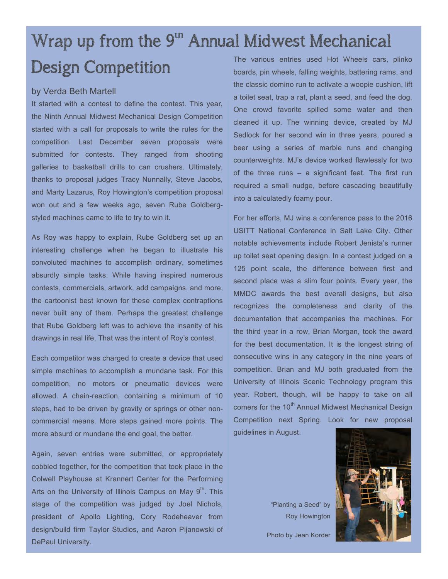### Wrap up from the  $9<sup>th</sup>$  Annual Midwest Mechanical Design Competition The various entries used Hot Wheels cars, plinko

#### by Verda Beth Martell

It started with a contest to define the contest. This year, the Ninth Annual Midwest Mechanical Design Competition started with a call for proposals to write the rules for the competition. Last December seven proposals were submitted for contests. They ranged from shooting galleries to basketball drills to can crushers. Ultimately, thanks to proposal judges Tracy Nunnally, Steve Jacobs, and Marty Lazarus, Roy Howington's competition proposal won out and a few weeks ago, seven Rube Goldbergstyled machines came to life to try to win it.

As Roy was happy to explain, Rube Goldberg set up an interesting challenge when he began to illustrate his convoluted machines to accomplish ordinary, sometimes absurdly simple tasks. While having inspired numerous contests, commercials, artwork, add campaigns, and more, the cartoonist best known for these complex contraptions never built any of them. Perhaps the greatest challenge that Rube Goldberg left was to achieve the insanity of his drawings in real life. That was the intent of Roy's contest.

Each competitor was charged to create a device that used simple machines to accomplish a mundane task. For this competition, no motors or pneumatic devices were allowed. A chain-reaction, containing a minimum of 10 steps, had to be driven by gravity or springs or other noncommercial means. More steps gained more points. The more absurd or mundane the end goal, the better.

Again, seven entries were submitted, or appropriately cobbled together, for the competition that took place in the Colwell Playhouse at Krannert Center for the Performing Arts on the University of Illinois Campus on May  $9<sup>th</sup>$ . This stage of the competition was judged by Joel Nichols, president of Apollo Lighting, Cory Rodeheaver from design/build firm Taylor Studios, and Aaron Pijanowski of DePaul University.

boards, pin wheels, falling weights, battering rams, and the classic domino run to activate a woopie cushion, lift a toilet seat, trap a rat, plant a seed, and feed the dog. One crowd favorite spilled some water and then cleaned it up. The winning device, created by MJ Sedlock for her second win in three years, poured a beer using a series of marble runs and changing counterweights. MJ's device worked flawlessly for two of the three runs – a significant feat. The first run required a small nudge, before cascading beautifully into a calculatedly foamy pour.

For her efforts, MJ wins a conference pass to the 2016 USITT National Conference in Salt Lake City. Other notable achievements include Robert Jenista's runner up toilet seat opening design. In a contest judged on a 125 point scale, the difference between first and second place was a slim four points. Every year, the MMDC awards the best overall designs, but also recognizes the completeness and clarity of the documentation that accompanies the machines. For the third year in a row, Brian Morgan, took the award for the best documentation. It is the longest string of consecutive wins in any category in the nine years of competition. Brian and MJ both graduated from the University of Illinois Scenic Technology program this year. Robert, though, will be happy to take on all comers for the 10<sup>th</sup> Annual Midwest Mechanical Design Competition next Spring. Look for new proposal guidelines in August.

> "Planting a Seed" by Roy Howington



Photo by Jean Korder